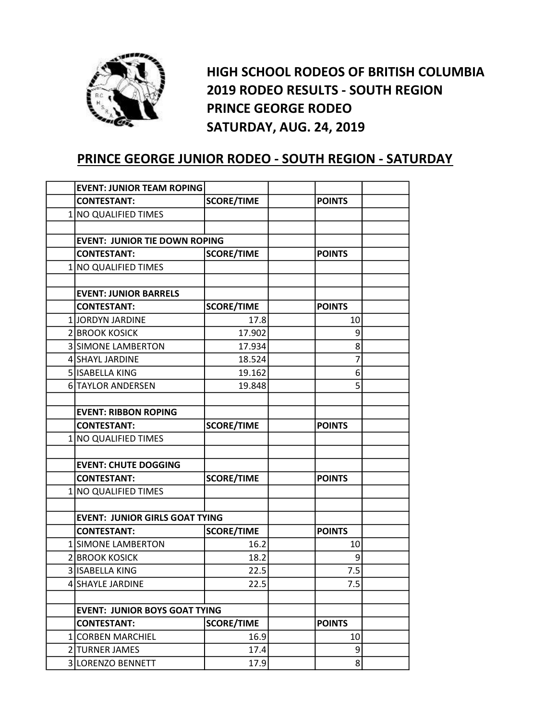

HIGH SCHOOL RODEOS OF BRITISH COLUMBIA 2019 RODEO RESULTS - SOUTH REGION PRINCE GEORGE RODEO SATURDAY, AUG. 24, 2019

## PRINCE GEORGE JUNIOR RODEO - SOUTH REGION - SATURDAY

| <b>EVENT: JUNIOR TEAM ROPING</b>      |                   |               |  |
|---------------------------------------|-------------------|---------------|--|
| <b>CONTESTANT:</b>                    | <b>SCORE/TIME</b> | <b>POINTS</b> |  |
| 1 NO QUALIFIED TIMES                  |                   |               |  |
|                                       |                   |               |  |
| <b>EVENT: JUNIOR TIE DOWN ROPING</b>  |                   |               |  |
| <b>CONTESTANT:</b>                    | <b>SCORE/TIME</b> | <b>POINTS</b> |  |
| 1 NO QUALIFIED TIMES                  |                   |               |  |
|                                       |                   |               |  |
| <b>EVENT: JUNIOR BARRELS</b>          |                   |               |  |
| <b>CONTESTANT:</b>                    | <b>SCORE/TIME</b> | <b>POINTS</b> |  |
| 1 JORDYN JARDINE                      | 17.8              | 10            |  |
| 2 BROOK KOSICK                        | 17.902            | 9             |  |
| <b>3 SIMONE LAMBERTON</b>             | 17.934            | 8             |  |
| 4 SHAYL JARDINE                       | 18.524            | 7             |  |
| 5 ISABELLA KING                       | 19.162            | 6             |  |
| 6 TAYLOR ANDERSEN                     | 19.848            | 5             |  |
|                                       |                   |               |  |
| <b>EVENT: RIBBON ROPING</b>           |                   |               |  |
| <b>CONTESTANT:</b>                    | <b>SCORE/TIME</b> | <b>POINTS</b> |  |
| 1 NO QUALIFIED TIMES                  |                   |               |  |
|                                       |                   |               |  |
| <b>EVENT: CHUTE DOGGING</b>           |                   |               |  |
| <b>CONTESTANT:</b>                    | <b>SCORE/TIME</b> | <b>POINTS</b> |  |
| 1 NO QUALIFIED TIMES                  |                   |               |  |
|                                       |                   |               |  |
| <b>EVENT: JUNIOR GIRLS GOAT TYING</b> |                   |               |  |
| <b>CONTESTANT:</b>                    | <b>SCORE/TIME</b> | <b>POINTS</b> |  |
| 1 SIMONE LAMBERTON                    | 16.2              | 10            |  |
| 2 BROOK KOSICK                        | 18.2              | 9             |  |
| 3 ISABELLA KING                       | 22.5              | 7.5           |  |
| 4 SHAYLE JARDINE                      | 22.5              | 7.5           |  |
|                                       |                   |               |  |
| <b>EVENT: JUNIOR BOYS GOAT TYING</b>  |                   |               |  |
| <b>CONTESTANT:</b>                    | <b>SCORE/TIME</b> | <b>POINTS</b> |  |
| 1 CORBEN MARCHIEL                     | 16.9              | 10            |  |
| 2 TURNER JAMES                        | 17.4              | 9             |  |
| 3LORENZO BENNETT                      | 17.9              | 8             |  |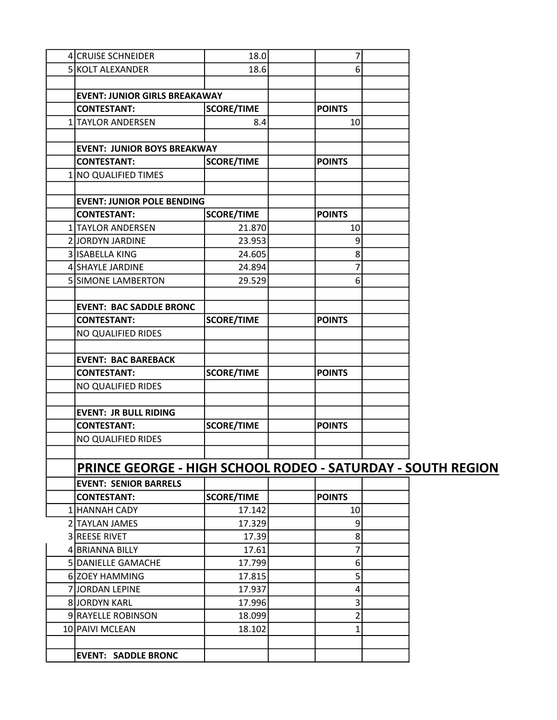| 4 CRUISE SCHNEIDER                                                 | 18.0              | 7               |  |
|--------------------------------------------------------------------|-------------------|-----------------|--|
| 5 KOLT ALEXANDER                                                   | 18.6              | 6               |  |
|                                                                    |                   |                 |  |
| <b>EVENT: JUNIOR GIRLS BREAKAWAY</b>                               |                   |                 |  |
| <b>CONTESTANT:</b>                                                 | <b>SCORE/TIME</b> | <b>POINTS</b>   |  |
| 1 TAYLOR ANDERSEN                                                  | 8.4               | 10 <sup>1</sup> |  |
|                                                                    |                   |                 |  |
| <b>EVENT: JUNIOR BOYS BREAKWAY</b>                                 |                   |                 |  |
| <b>CONTESTANT:</b>                                                 | <b>SCORE/TIME</b> | <b>POINTS</b>   |  |
| 1 NO QUALIFIED TIMES                                               |                   |                 |  |
|                                                                    |                   |                 |  |
| <b>EVENT: JUNIOR POLE BENDING</b>                                  |                   |                 |  |
| <b>CONTESTANT:</b>                                                 | <b>SCORE/TIME</b> | <b>POINTS</b>   |  |
| 1 TAYLOR ANDERSEN                                                  | 21.870            | 10              |  |
| 2 JORDYN JARDINE                                                   | 23.953            | 9               |  |
| 3 ISABELLA KING                                                    | 24.605            | 8               |  |
| 4 SHAYLE JARDINE                                                   | 24.894            | 7               |  |
| 5 SIMONE LAMBERTON                                                 | 29.529            | 6               |  |
|                                                                    |                   |                 |  |
| <b>EVENT: BAC SADDLE BRONC</b>                                     |                   |                 |  |
| <b>CONTESTANT:</b>                                                 | <b>SCORE/TIME</b> | <b>POINTS</b>   |  |
| NO QUALIFIED RIDES                                                 |                   |                 |  |
|                                                                    |                   |                 |  |
| <b>EVENT: BAC BAREBACK</b>                                         |                   |                 |  |
| <b>CONTESTANT:</b>                                                 | <b>SCORE/TIME</b> | <b>POINTS</b>   |  |
| NO QUALIFIED RIDES                                                 |                   |                 |  |
|                                                                    |                   |                 |  |
| <b>EVENT: JR BULL RIDING</b>                                       |                   |                 |  |
| <b>CONTESTANT:</b>                                                 | <b>SCORE/TIME</b> | <b>POINTS</b>   |  |
| NO QUALIFIED RIDES                                                 |                   |                 |  |
|                                                                    |                   |                 |  |
|                                                                    |                   |                 |  |
| <b>PRINCE GEORGE - HIGH SCHOOL RODEO - SATURDAY - SOUTH REGION</b> |                   |                 |  |
| <b>EVENT: SENIOR BARRELS</b>                                       |                   |                 |  |
| <b>CONTESTANT:</b>                                                 | <b>SCORE/TIME</b> | <b>POINTS</b>   |  |
| 1 HANNAH CADY                                                      | 17.142            | 10              |  |
| 2 TAYLAN JAMES                                                     | 17.329            | $\overline{9}$  |  |
| 3 REESE RIVET                                                      | 17.39             | 8               |  |
| 4 BRIANNA BILLY                                                    | 17.61             | 7               |  |
| 5 DANIELLE GAMACHE                                                 | 17.799            | 6               |  |
| 6 ZOEY HAMMING                                                     | 17.815            | 5               |  |
| 7JJORDAN LEPINE                                                    | 17.937            | 4               |  |
| 8JORDYN KARL                                                       | 17.996            | 3               |  |
| 9 RAYELLE ROBINSON                                                 | 18.099            | $\overline{2}$  |  |
| 10 PAIVI MCLEAN                                                    | 18.102            | 1               |  |
|                                                                    |                   |                 |  |
| <b>EVENT: SADDLE BRONC</b>                                         |                   |                 |  |
|                                                                    |                   |                 |  |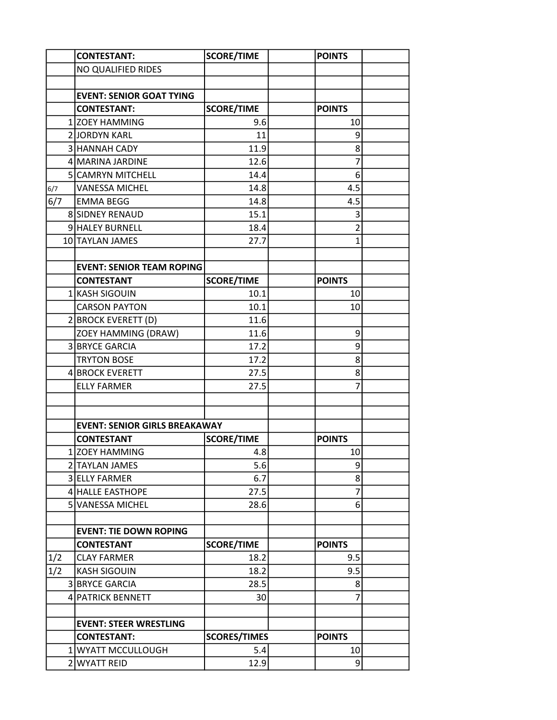|     |  | <b>CONTESTANT:</b>                   | <b>SCORE/TIME</b>   | <b>POINTS</b>  |  |
|-----|--|--------------------------------------|---------------------|----------------|--|
|     |  | NO QUALIFIED RIDES                   |                     |                |  |
|     |  |                                      |                     |                |  |
|     |  | <b>EVENT: SENIOR GOAT TYING</b>      |                     |                |  |
|     |  | <b>CONTESTANT:</b>                   | <b>SCORE/TIME</b>   | <b>POINTS</b>  |  |
|     |  | 1 ZOEY HAMMING                       | 9.6                 | 10             |  |
|     |  | 2JJORDYN KARL                        | 11                  | 9              |  |
|     |  | 3 HANNAH CADY                        | 11.9                | 8              |  |
|     |  | 4 MARINA JARDINE                     | 12.6                | 7              |  |
|     |  | 5 CAMRYN MITCHELL                    | 14.4                | 6              |  |
| 6/7 |  | <b>VANESSA MICHEL</b>                | 14.8                | 4.5            |  |
| 6/7 |  | <b>EMMA BEGG</b>                     | 14.8                | 4.5            |  |
|     |  | <b>8 SIDNEY RENAUD</b>               | 15.1                | 3              |  |
|     |  | 9 HALEY BURNELL                      | 18.4                | $\overline{2}$ |  |
|     |  | 10 TAYLAN JAMES                      | 27.7                | 1              |  |
|     |  |                                      |                     |                |  |
|     |  | <b>EVENT: SENIOR TEAM ROPING</b>     |                     |                |  |
|     |  | <b>CONTESTANT</b>                    | <b>SCORE/TIME</b>   | <b>POINTS</b>  |  |
|     |  | 1 KASH SIGOUIN                       | 10.1                | 10             |  |
|     |  | <b>CARSON PAYTON</b>                 | 10.1                | 10             |  |
|     |  | 2 BROCK EVERETT (D)                  | 11.6                |                |  |
|     |  | ZOEY HAMMING (DRAW)                  | 11.6                | 9              |  |
|     |  | 3 BRYCE GARCIA                       | 17.2                | 9              |  |
|     |  | <b>TRYTON BOSE</b>                   | 17.2                | 8              |  |
|     |  | 4 BROCK EVERETT                      | 27.5                | 8              |  |
|     |  | <b>ELLY FARMER</b>                   | 27.5                | 7              |  |
|     |  |                                      |                     |                |  |
|     |  |                                      |                     |                |  |
|     |  | <b>EVENT: SENIOR GIRLS BREAKAWAY</b> |                     |                |  |
|     |  | <b>CONTESTANT</b>                    | <b>SCORE/TIME</b>   | <b>POINTS</b>  |  |
|     |  | 1 ZOEY HAMMING                       | 4.8                 | 10             |  |
|     |  | 2 TAYLAN JAMES                       | 5.6                 | 9              |  |
|     |  | 3 ELLY FARMER                        | 6.7                 | 8 <sup>1</sup> |  |
|     |  | 4 HALLE EASTHOPE                     | 27.5                | 7              |  |
|     |  | 5 VANESSA MICHEL                     | 28.6                | 6              |  |
|     |  |                                      |                     |                |  |
|     |  | <b>EVENT: TIE DOWN ROPING</b>        |                     |                |  |
|     |  | <b>CONTESTANT</b>                    | <b>SCORE/TIME</b>   | <b>POINTS</b>  |  |
| 1/2 |  | <b>CLAY FARMER</b>                   | 18.2                | 9.5            |  |
| 1/2 |  | <b>KASH SIGOUIN</b>                  | 18.2                | 9.5            |  |
|     |  | 3 BRYCE GARCIA                       | 28.5                | 8 <sup>1</sup> |  |
|     |  | 4 PATRICK BENNETT                    | 30                  | 7              |  |
|     |  |                                      |                     |                |  |
|     |  | <b>EVENT: STEER WRESTLING</b>        |                     |                |  |
|     |  | <b>CONTESTANT:</b>                   | <b>SCORES/TIMES</b> | <b>POINTS</b>  |  |
|     |  | 1 WYATT MCCULLOUGH                   | 5.4                 | 10             |  |
|     |  | 2 WYATT REID                         | 12.9                | $\overline{9}$ |  |